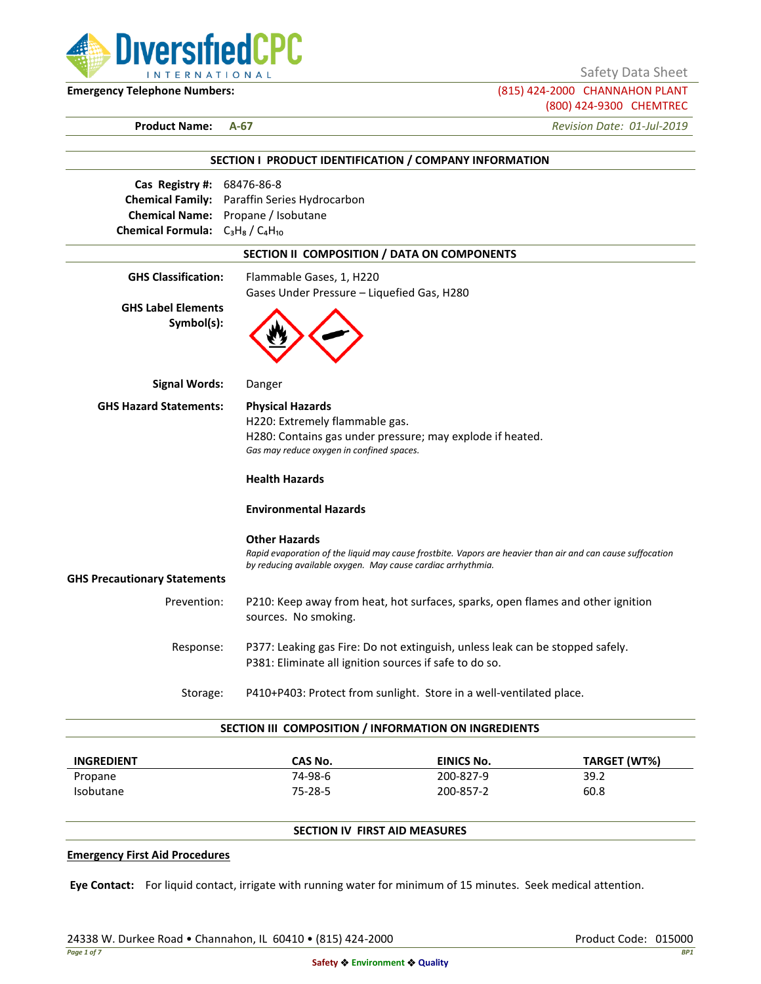

Safety Data Sheet

**Emergency Telephone Numbers:** (815) 424-2000 CHANNAHON PLANT (800) 424-9300 CHEMTREC

**Product Name: A-67** *Revision Date: 01-Jul-2019*

|                                         | SECTION I PRODUCT IDENTIFICATION / COMPANY INFORMATION                                                     |  |  |  |
|-----------------------------------------|------------------------------------------------------------------------------------------------------------|--|--|--|
| Cas Registry #: 68476-86-8              |                                                                                                            |  |  |  |
|                                         | Chemical Family: Paraffin Series Hydrocarbon                                                               |  |  |  |
|                                         | Chemical Name: Propane / Isobutane                                                                         |  |  |  |
| Chemical Formula: $C_3H_8/C_4H_{10}$    |                                                                                                            |  |  |  |
|                                         | SECTION II COMPOSITION / DATA ON COMPONENTS                                                                |  |  |  |
| <b>GHS Classification:</b>              | Flammable Gases, 1, H220                                                                                   |  |  |  |
|                                         | Gases Under Pressure - Liquefied Gas, H280                                                                 |  |  |  |
| <b>GHS Label Elements</b><br>Symbol(s): |                                                                                                            |  |  |  |
| <b>Signal Words:</b>                    | Danger                                                                                                     |  |  |  |
| <b>GHS Hazard Statements:</b>           | <b>Physical Hazards</b>                                                                                    |  |  |  |
|                                         | H220: Extremely flammable gas.                                                                             |  |  |  |
|                                         | H280: Contains gas under pressure; may explode if heated.                                                  |  |  |  |
|                                         | Gas may reduce oxygen in confined spaces.                                                                  |  |  |  |
|                                         | <b>Health Hazards</b>                                                                                      |  |  |  |
|                                         | <b>Environmental Hazards</b>                                                                               |  |  |  |
|                                         | <b>Other Hazards</b>                                                                                       |  |  |  |
|                                         | Rapid evaporation of the liquid may cause frostbite. Vapors are heavier than air and can cause suffocation |  |  |  |
|                                         | by reducing available oxygen. May cause cardiac arrhythmia.                                                |  |  |  |
| <b>GHS Precautionary Statements</b>     |                                                                                                            |  |  |  |
| Prevention:                             | P210: Keep away from heat, hot surfaces, sparks, open flames and other ignition<br>sources. No smoking.    |  |  |  |
| Response:                               | P377: Leaking gas Fire: Do not extinguish, unless leak can be stopped safely.                              |  |  |  |
|                                         | P381: Eliminate all ignition sources if safe to do so.                                                     |  |  |  |
| Storage:                                | P410+P403: Protect from sunlight. Store in a well-ventilated place.                                        |  |  |  |

| <b>INGREDIENT</b> | CAS No. | <b>EINICS No.</b> | TARGET (WT%) |
|-------------------|---------|-------------------|--------------|
| Propane           | 74-98-6 | 200-827-9         | 39.2         |
| <b>Isobutane</b>  | 75-28-5 | 200-857-2         | 60.8         |

# **SECTION IV FIRST AID MEASURES**

#### **Emergency First Aid Procedures**

**Eye Contact:** For liquid contact, irrigate with running water for minimum of 15 minutes. Seek medical attention.

24338 W. Durkee Road • Channahon, IL 60410 • (815) 424-2000 Product Code: 015000 Product Code: 015000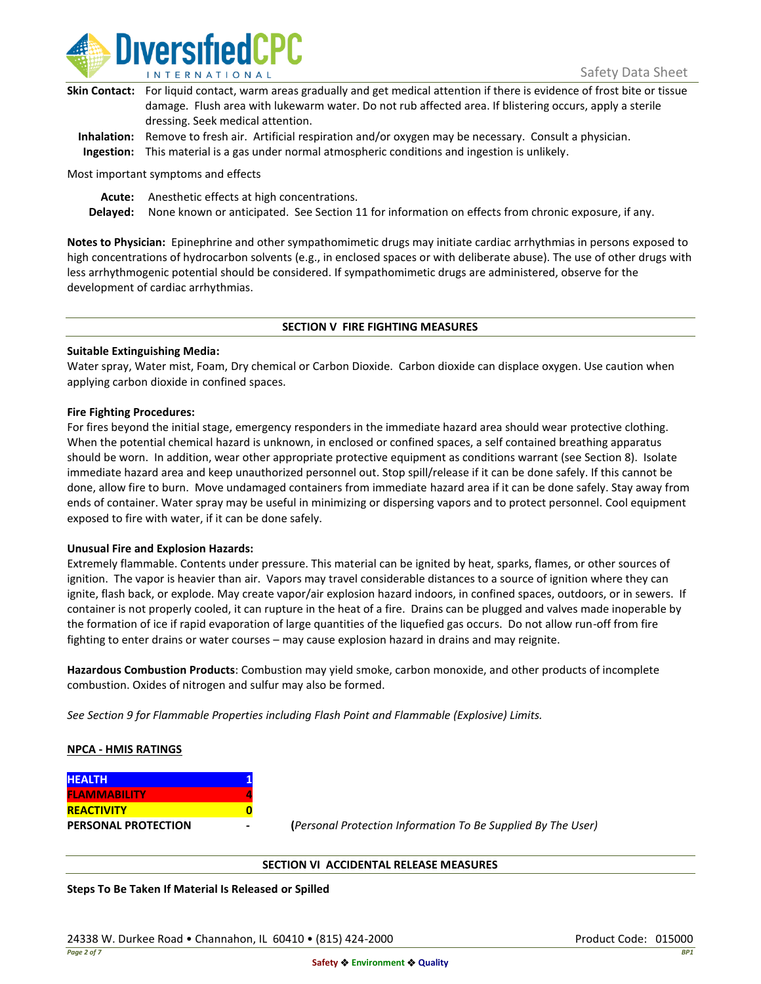

| Skin Contact: For liquid contact, warm areas gradually and get medical attention if there is evidence of frost bite or tissue |
|-------------------------------------------------------------------------------------------------------------------------------|
| damage. Flush area with lukewarm water. Do not rub affected area. If blistering occurs, apply a sterile                       |
| dressing. Seek medical attention.                                                                                             |
|                                                                                                                               |

**Inhalation:** Remove to fresh air. Artificial respiration and/or oxygen may be necessary. Consult a physician. **Ingestion:** This material is a gas under normal atmospheric conditions and ingestion is unlikely.

Most important symptoms and effects

**Acute:** Anesthetic effects at high concentrations.

**Delayed:** None known or anticipated. See Section 11 for information on effects from chronic exposure, if any.

**Notes to Physician:** Epinephrine and other sympathomimetic drugs may initiate cardiac arrhythmias in persons exposed to high concentrations of hydrocarbon solvents (e.g., in enclosed spaces or with deliberate abuse). The use of other drugs with less arrhythmogenic potential should be considered. If sympathomimetic drugs are administered, observe for the development of cardiac arrhythmias.

### **SECTION V FIRE FIGHTING MEASURES**

### **Suitable Extinguishing Media:**

Water spray, Water mist, Foam, Dry chemical or Carbon Dioxide. Carbon dioxide can displace oxygen. Use caution when applying carbon dioxide in confined spaces.

### **Fire Fighting Procedures:**

For fires beyond the initial stage, emergency responders in the immediate hazard area should wear protective clothing. When the potential chemical hazard is unknown, in enclosed or confined spaces, a self contained breathing apparatus should be worn. In addition, wear other appropriate protective equipment as conditions warrant (see Section 8). Isolate immediate hazard area and keep unauthorized personnel out. Stop spill/release if it can be done safely. If this cannot be done, allow fire to burn. Move undamaged containers from immediate hazard area if it can be done safely. Stay away from ends of container. Water spray may be useful in minimizing or dispersing vapors and to protect personnel. Cool equipment exposed to fire with water, if it can be done safely.

### **Unusual Fire and Explosion Hazards:**

Extremely flammable. Contents under pressure. This material can be ignited by heat, sparks, flames, or other sources of ignition. The vapor is heavier than air. Vapors may travel considerable distances to a source of ignition where they can ignite, flash back, or explode. May create vapor/air explosion hazard indoors, in confined spaces, outdoors, or in sewers. If container is not properly cooled, it can rupture in the heat of a fire. Drains can be plugged and valves made inoperable by the formation of ice if rapid evaporation of large quantities of the liquefied gas occurs. Do not allow run-off from fire fighting to enter drains or water courses – may cause explosion hazard in drains and may reignite.

**Hazardous Combustion Products**: Combustion may yield smoke, carbon monoxide, and other products of incomplete combustion. Oxides of nitrogen and sulfur may also be formed.

*See Section 9 for Flammable Properties including Flash Point and Flammable (Explosive) Limits.*

### **NPCA - HMIS RATINGS**

| <b>HEALTH</b>              |  |
|----------------------------|--|
| <b>FLAMMABILITY</b>        |  |
| <b>REACTIVITY</b>          |  |
| <b>PERSONAL PROTECTION</b> |  |

**PERSONAL PROTECTION - (***Personal Protection Information To Be Supplied By The User)*

### **SECTION VI ACCIDENTAL RELEASE MEASURES**

**Steps To Be Taken If Material Is Released or Spilled**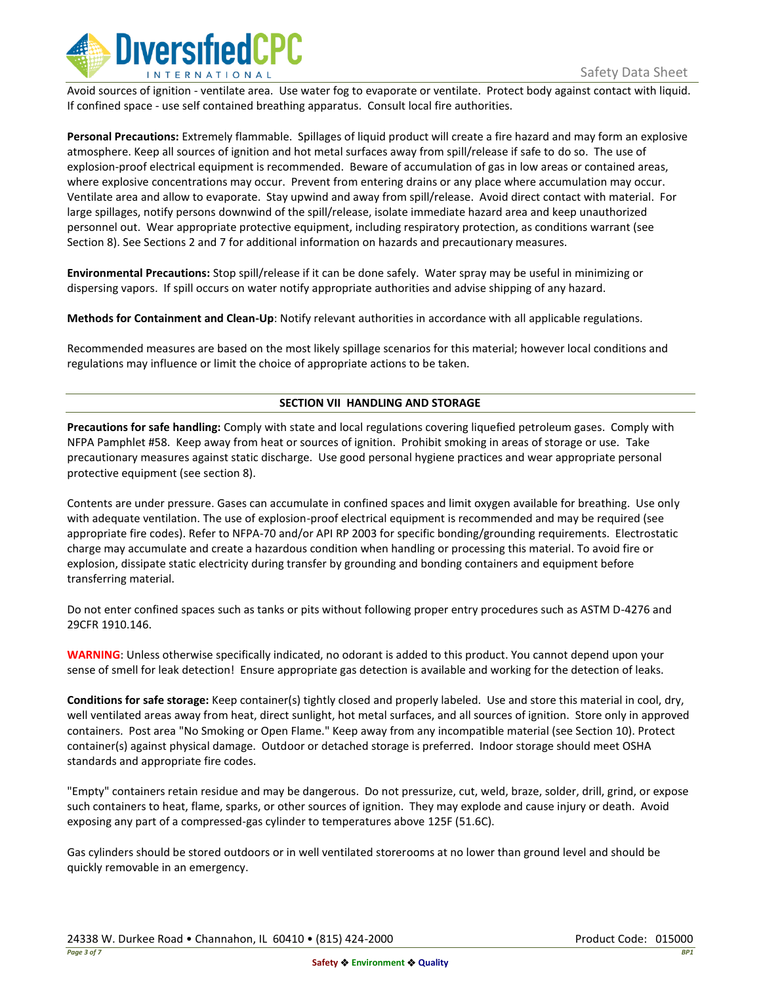

Avoid sources of ignition - ventilate area. Use water fog to evaporate or ventilate. Protect body against contact with liquid. If confined space - use self contained breathing apparatus. Consult local fire authorities.

**Personal Precautions:** Extremely flammable. Spillages of liquid product will create a fire hazard and may form an explosive atmosphere. Keep all sources of ignition and hot metal surfaces away from spill/release if safe to do so. The use of explosion-proof electrical equipment is recommended. Beware of accumulation of gas in low areas or contained areas, where explosive concentrations may occur. Prevent from entering drains or any place where accumulation may occur. Ventilate area and allow to evaporate. Stay upwind and away from spill/release. Avoid direct contact with material. For large spillages, notify persons downwind of the spill/release, isolate immediate hazard area and keep unauthorized personnel out. Wear appropriate protective equipment, including respiratory protection, as conditions warrant (see Section 8). See Sections 2 and 7 for additional information on hazards and precautionary measures.

**Environmental Precautions:** Stop spill/release if it can be done safely. Water spray may be useful in minimizing or dispersing vapors. If spill occurs on water notify appropriate authorities and advise shipping of any hazard.

**Methods for Containment and Clean-Up**: Notify relevant authorities in accordance with all applicable regulations.

Recommended measures are based on the most likely spillage scenarios for this material; however local conditions and regulations may influence or limit the choice of appropriate actions to be taken.

# **SECTION VII HANDLING AND STORAGE**

**Precautions for safe handling:** Comply with state and local regulations covering liquefied petroleum gases. Comply with NFPA Pamphlet #58. Keep away from heat or sources of ignition. Prohibit smoking in areas of storage or use. Take precautionary measures against static discharge. Use good personal hygiene practices and wear appropriate personal protective equipment (see section 8).

Contents are under pressure. Gases can accumulate in confined spaces and limit oxygen available for breathing. Use only with adequate ventilation. The use of explosion-proof electrical equipment is recommended and may be required (see appropriate fire codes). Refer to NFPA-70 and/or API RP 2003 for specific bonding/grounding requirements. Electrostatic charge may accumulate and create a hazardous condition when handling or processing this material. To avoid fire or explosion, dissipate static electricity during transfer by grounding and bonding containers and equipment before transferring material.

Do not enter confined spaces such as tanks or pits without following proper entry procedures such as ASTM D-4276 and 29CFR 1910.146.

**WARNING**: Unless otherwise specifically indicated, no odorant is added to this product. You cannot depend upon your sense of smell for leak detection! Ensure appropriate gas detection is available and working for the detection of leaks.

**Conditions for safe storage:** Keep container(s) tightly closed and properly labeled. Use and store this material in cool, dry, well ventilated areas away from heat, direct sunlight, hot metal surfaces, and all sources of ignition. Store only in approved containers. Post area "No Smoking or Open Flame." Keep away from any incompatible material (see Section 10). Protect container(s) against physical damage. Outdoor or detached storage is preferred. Indoor storage should meet OSHA standards and appropriate fire codes.

"Empty" containers retain residue and may be dangerous. Do not pressurize, cut, weld, braze, solder, drill, grind, or expose such containers to heat, flame, sparks, or other sources of ignition. They may explode and cause injury or death. Avoid exposing any part of a compressed-gas cylinder to temperatures above 125F (51.6C).

Gas cylinders should be stored outdoors or in well ventilated storerooms at no lower than ground level and should be quickly removable in an emergency.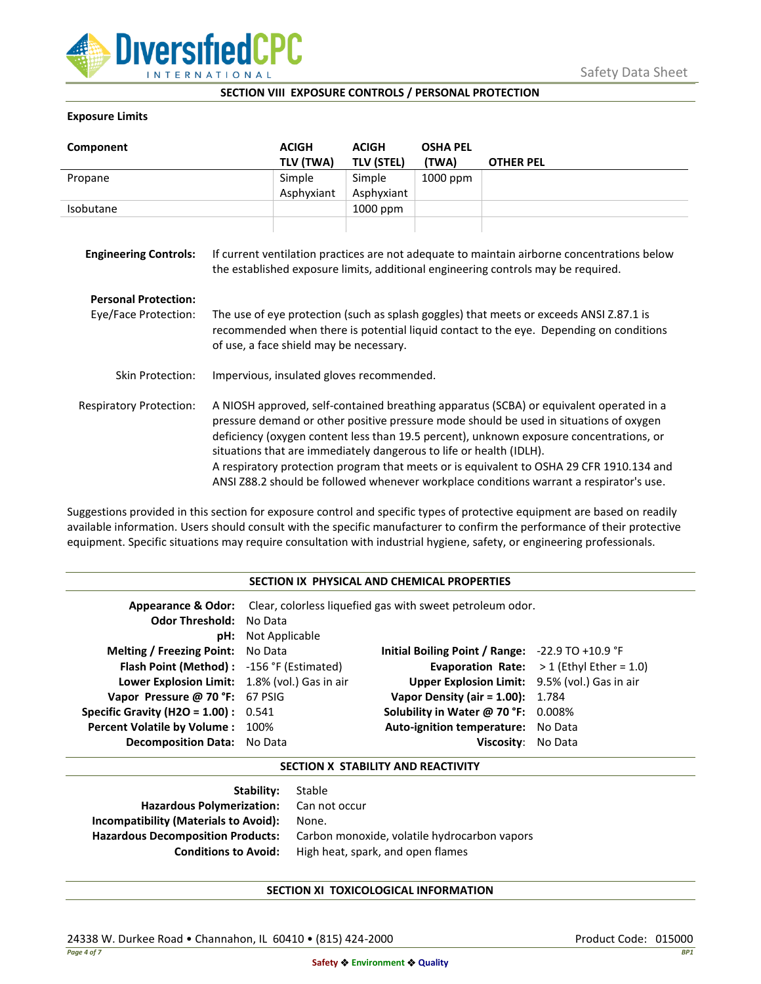

## **SECTION VIII EXPOSURE CONTROLS / PERSONAL PROTECTION**

### **Exposure Limits**

| Component                      |                                                                                                                                                                                                                                                                                                                                                                                                                                                                                                                                            | <b>ACIGH</b><br>TLV (TWA) | <b>ACIGH</b><br><b>TLV (STEL)</b> | <b>OSHA PEL</b><br>(TWA) | <b>OTHER PEL</b> |
|--------------------------------|--------------------------------------------------------------------------------------------------------------------------------------------------------------------------------------------------------------------------------------------------------------------------------------------------------------------------------------------------------------------------------------------------------------------------------------------------------------------------------------------------------------------------------------------|---------------------------|-----------------------------------|--------------------------|------------------|
| Propane                        |                                                                                                                                                                                                                                                                                                                                                                                                                                                                                                                                            | Simple                    | Simple                            | 1000 ppm                 |                  |
|                                |                                                                                                                                                                                                                                                                                                                                                                                                                                                                                                                                            | Asphyxiant                | Asphyxiant                        |                          |                  |
| Isobutane                      |                                                                                                                                                                                                                                                                                                                                                                                                                                                                                                                                            |                           | 1000 ppm                          |                          |                  |
| <b>Engineering Controls:</b>   | If current ventilation practices are not adequate to maintain airborne concentrations below<br>the established exposure limits, additional engineering controls may be required.                                                                                                                                                                                                                                                                                                                                                           |                           |                                   |                          |                  |
| <b>Personal Protection:</b>    |                                                                                                                                                                                                                                                                                                                                                                                                                                                                                                                                            |                           |                                   |                          |                  |
| Eye/Face Protection:           | The use of eye protection (such as splash goggles) that meets or exceeds ANSI Z.87.1 is<br>recommended when there is potential liquid contact to the eye. Depending on conditions<br>of use, a face shield may be necessary.                                                                                                                                                                                                                                                                                                               |                           |                                   |                          |                  |
| Skin Protection:               | Impervious, insulated gloves recommended.                                                                                                                                                                                                                                                                                                                                                                                                                                                                                                  |                           |                                   |                          |                  |
| <b>Respiratory Protection:</b> | A NIOSH approved, self-contained breathing apparatus (SCBA) or equivalent operated in a<br>pressure demand or other positive pressure mode should be used in situations of oxygen<br>deficiency (oxygen content less than 19.5 percent), unknown exposure concentrations, or<br>situations that are immediately dangerous to life or health (IDLH).<br>A respiratory protection program that meets or is equivalent to OSHA 29 CFR 1910.134 and<br>ANSI Z88.2 should be followed whenever workplace conditions warrant a respirator's use. |                           |                                   |                          |                  |

Suggestions provided in this section for exposure control and specific types of protective equipment are based on readily available information. Users should consult with the specific manufacturer to confirm the performance of their protective equipment. Specific situations may require consultation with industrial hygiene, safety, or engineering professionals.

## **SECTION IX PHYSICAL AND CHEMICAL PROPERTIES**

| <b>Odor Threshold: No Data</b>                | <b>pH:</b> Not Applicable | <b>Appearance &amp; Odor:</b> Clear, colorless liquefied gas with sweet petroleum odor. |                                                    |
|-----------------------------------------------|---------------------------|-----------------------------------------------------------------------------------------|----------------------------------------------------|
| <b>Melting / Freezing Point:</b> No Data      |                           | Initial Boiling Point / Range: $-22.9$ TO $+10.9$ °F                                    |                                                    |
| Flash Point (Method): -156 °F (Estimated)     |                           |                                                                                         | <b>Evaporation Rate:</b> $> 1$ (Ethyl Ether = 1.0) |
| Lower Explosion Limit: 1.8% (vol.) Gas in air |                           | Upper Explosion Limit: 9.5% (vol.) Gas in air                                           |                                                    |
| Vapor Pressure @ 70 °F: 67 PSIG               |                           | <b>Vapor Density (air = 1.00):</b> 1.784                                                |                                                    |
| Specific Gravity (H2O = $1.00$ ) : $0.541$    |                           | Solubility in Water @ 70 °F: 0.008%                                                     |                                                    |
| Percent Volatile by Volume: 100%              |                           | Auto-ignition temperature: No Data                                                      |                                                    |
| Decomposition Data: No Data                   |                           | Viscosity: No Data                                                                      |                                                    |

### **SECTION X STABILITY AND REACTIVITY**

| <b>Stability:</b> Stable                     |
|----------------------------------------------|
| Hazardous Polymerization: Can not occur      |
| None.                                        |
| Carbon monoxide, volatile hydrocarbon vapors |
| High heat, spark, and open flames            |
|                                              |

# **SECTION XI TOXICOLOGICAL INFORMATION**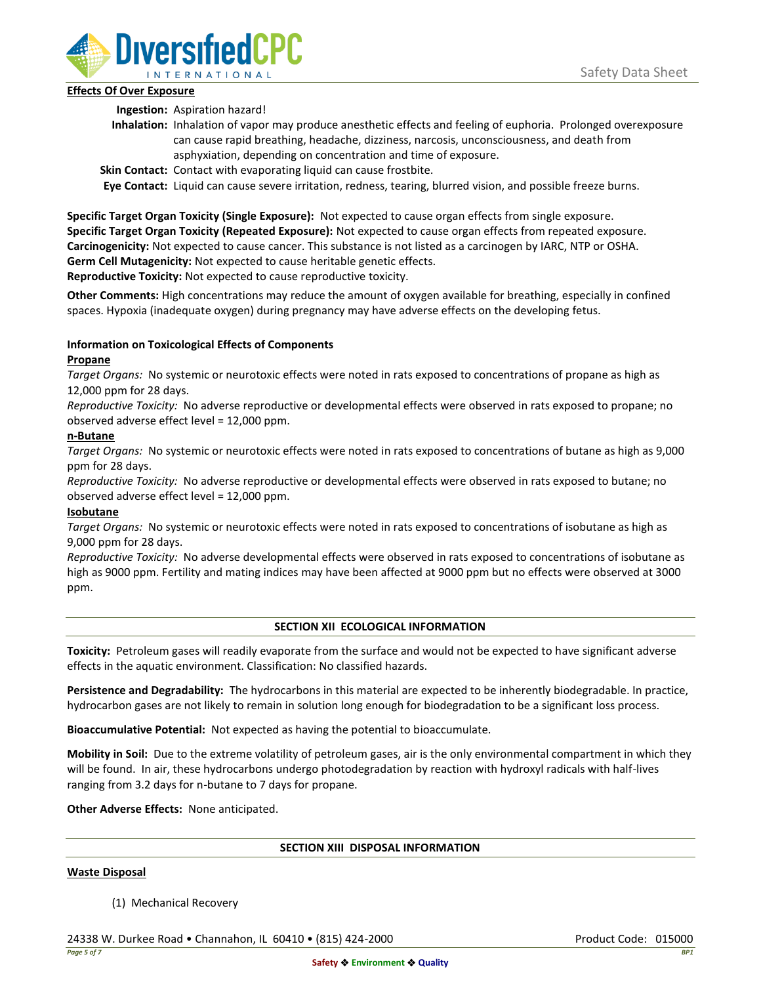

# **Effects Of Over Exposure**

**Ingestion:** Aspiration hazard!

- **Inhalation:** Inhalation of vapor may produce anesthetic effects and feeling of euphoria. Prolonged overexposure can cause rapid breathing, headache, dizziness, narcosis, unconsciousness, and death from asphyxiation, depending on concentration and time of exposure.
- **Skin Contact:** Contact with evaporating liquid can cause frostbite.

**Eye Contact:** Liquid can cause severe irritation, redness, tearing, blurred vision, and possible freeze burns.

**Specific Target Organ Toxicity (Single Exposure):** Not expected to cause organ effects from single exposure. **Specific Target Organ Toxicity (Repeated Exposure):** Not expected to cause organ effects from repeated exposure. **Carcinogenicity:** Not expected to cause cancer. This substance is not listed as a carcinogen by IARC, NTP or OSHA. **Germ Cell Mutagenicity:** Not expected to cause heritable genetic effects.

**Reproductive Toxicity:** Not expected to cause reproductive toxicity.

**Other Comments:** High concentrations may reduce the amount of oxygen available for breathing, especially in confined spaces. Hypoxia (inadequate oxygen) during pregnancy may have adverse effects on the developing fetus.

# **Information on Toxicological Effects of Components**

# **Propane**

*Target Organs:* No systemic or neurotoxic effects were noted in rats exposed to concentrations of propane as high as 12,000 ppm for 28 days.

*Reproductive Toxicity:* No adverse reproductive or developmental effects were observed in rats exposed to propane; no observed adverse effect level = 12,000 ppm.

# **n-Butane**

*Target Organs:* No systemic or neurotoxic effects were noted in rats exposed to concentrations of butane as high as 9,000 ppm for 28 days.

*Reproductive Toxicity:* No adverse reproductive or developmental effects were observed in rats exposed to butane; no observed adverse effect level = 12,000 ppm.

# **Isobutane**

*Target Organs:* No systemic or neurotoxic effects were noted in rats exposed to concentrations of isobutane as high as 9,000 ppm for 28 days.

*Reproductive Toxicity:* No adverse developmental effects were observed in rats exposed to concentrations of isobutane as high as 9000 ppm. Fertility and mating indices may have been affected at 9000 ppm but no effects were observed at 3000 ppm.

### **SECTION XII ECOLOGICAL INFORMATION**

**Toxicity:** Petroleum gases will readily evaporate from the surface and would not be expected to have significant adverse effects in the aquatic environment. Classification: No classified hazards.

**Persistence and Degradability:** The hydrocarbons in this material are expected to be inherently biodegradable. In practice, hydrocarbon gases are not likely to remain in solution long enough for biodegradation to be a significant loss process.

**Bioaccumulative Potential:** Not expected as having the potential to bioaccumulate.

**Mobility in Soil:** Due to the extreme volatility of petroleum gases, air is the only environmental compartment in which they will be found. In air, these hydrocarbons undergo photodegradation by reaction with hydroxyl radicals with half-lives ranging from 3.2 days for n-butane to 7 days for propane.

**Other Adverse Effects:** None anticipated.

### **SECTION XIII DISPOSAL INFORMATION**

### **Waste Disposal**

(1) Mechanical Recovery

24338 W. Durkee Road • Channahon, IL 60410 • (815) 424-2000 Product Code: 015000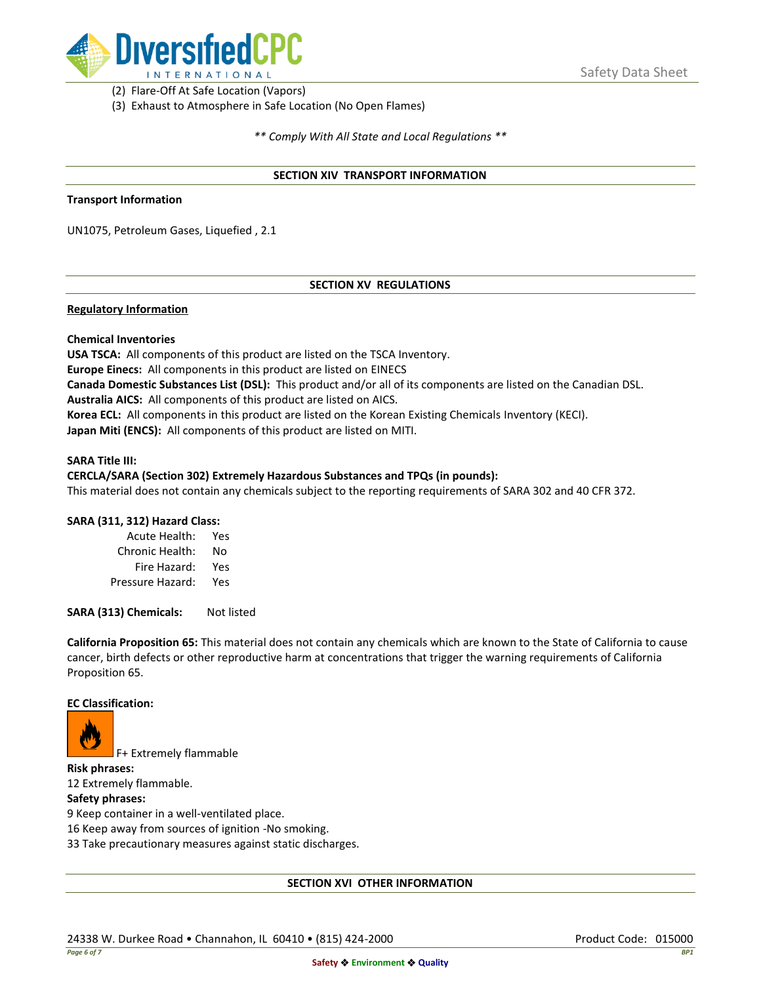

(2) Flare-Off At Safe Location (Vapors)

(3) Exhaust to Atmosphere in Safe Location (No Open Flames)

*\*\* Comply With All State and Local Regulations \*\**

### **SECTION XIV TRANSPORT INFORMATION**

### **Transport Information**

UN1075, Petroleum Gases, Liquefied , 2.1

# **SECTION XV REGULATIONS**

## **Regulatory Information**

### **Chemical Inventories**

**USA TSCA:** All components of this product are listed on the TSCA Inventory. **Europe Einecs:** All components in this product are listed on EINECS **Canada Domestic Substances List (DSL):** This product and/or all of its components are listed on the Canadian DSL. **Australia AICS:** All components of this product are listed on AICS. **Korea ECL:** All components in this product are listed on the Korean Existing Chemicals Inventory (KECI). **Japan Miti (ENCS):** All components of this product are listed on MITI.

#### **SARA Title III:**

### **CERCLA/SARA (Section 302) Extremely Hazardous Substances and TPQs (in pounds):**

This material does not contain any chemicals subject to the reporting requirements of SARA 302 and 40 CFR 372.

### **SARA (311, 312) Hazard Class:**

| Acute Health:    | Yes |
|------------------|-----|
| Chronic Health:  | No  |
| Fire Hazard:     | Yes |
| Pressure Hazard: | Yes |

**SARA (313) Chemicals:** Not listed

**California Proposition 65:** This material does not contain any chemicals which are known to the State of California to cause cancer, birth defects or other reproductive harm at concentrations that trigger the warning requirements of California Proposition 65.

### **EC Classification:**



F+ Extremely flammable

**Risk phrases:** 12 Extremely flammable.

## **Safety phrases:**

9 Keep container in a well-ventilated place.

16 Keep away from sources of ignition -No smoking.

33 Take precautionary measures against static discharges.

### **SECTION XVI OTHER INFORMATION**